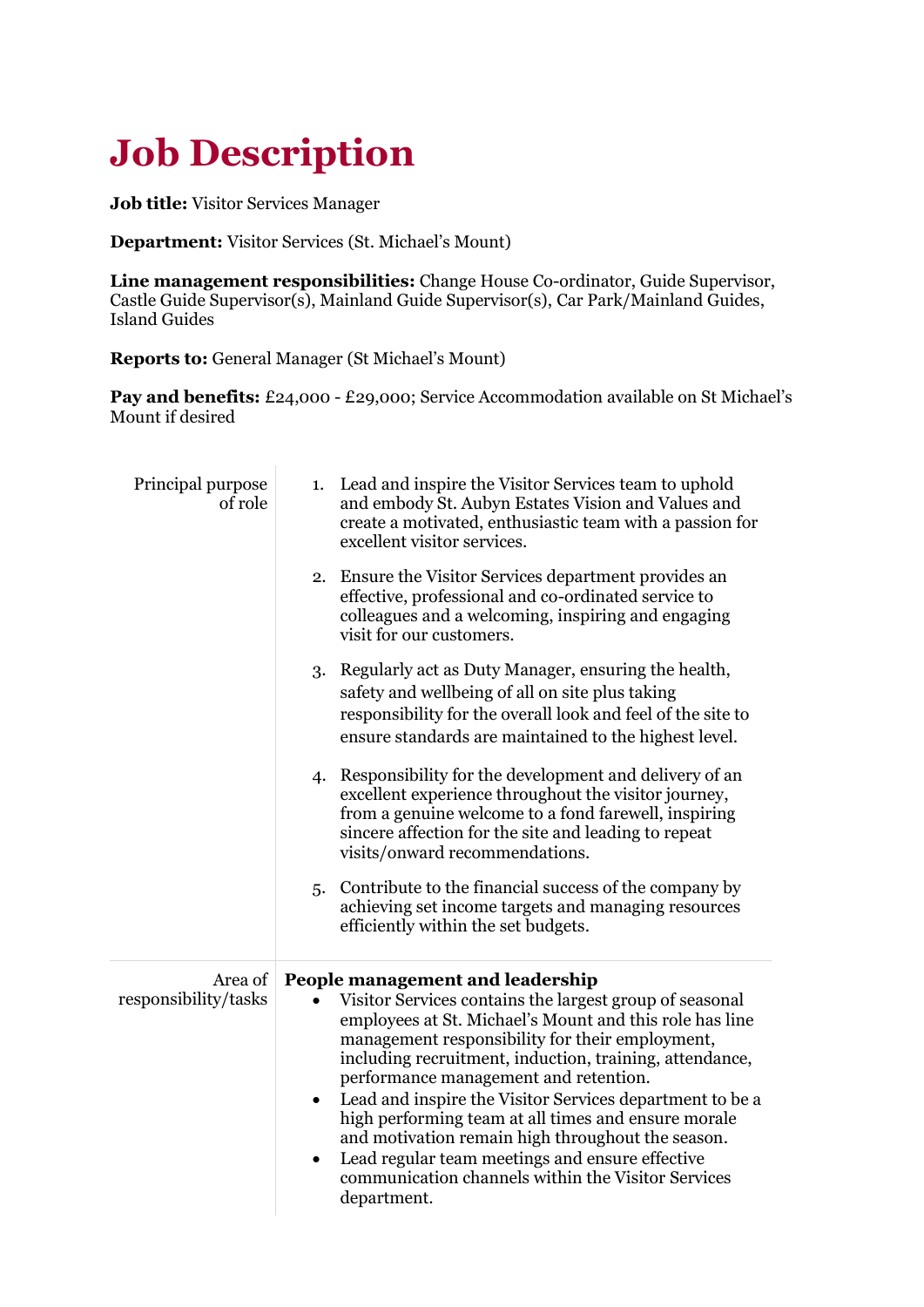# **Job Description**

**Job title:** Visitor Services Manager

**Department:** Visitor Services (St. Michael's Mount)

**Line management responsibilities:** Change House Co-ordinator, Guide Supervisor, Castle Guide Supervisor(s), Mainland Guide Supervisor(s), Car Park/Mainland Guides, Island Guides

**Reports to:** General Manager (St Michael's Mount)

Pay and benefits: £24,000 - £29,000; Service Accommodation available on St Michael's Mount if desired

| Principal purpose<br>of role    | Lead and inspire the Visitor Services team to uphold<br>1.<br>and embody St. Aubyn Estates Vision and Values and<br>create a motivated, enthusiastic team with a passion for<br>excellent visitor services.                                                                                                                                                                                                                                                                                                                                                                                                                |
|---------------------------------|----------------------------------------------------------------------------------------------------------------------------------------------------------------------------------------------------------------------------------------------------------------------------------------------------------------------------------------------------------------------------------------------------------------------------------------------------------------------------------------------------------------------------------------------------------------------------------------------------------------------------|
|                                 | 2. Ensure the Visitor Services department provides an<br>effective, professional and co-ordinated service to<br>colleagues and a welcoming, inspiring and engaging<br>visit for our customers.                                                                                                                                                                                                                                                                                                                                                                                                                             |
|                                 | Regularly act as Duty Manager, ensuring the health,<br>3.<br>safety and wellbeing of all on site plus taking<br>responsibility for the overall look and feel of the site to<br>ensure standards are maintained to the highest level.                                                                                                                                                                                                                                                                                                                                                                                       |
|                                 | 4. Responsibility for the development and delivery of an<br>excellent experience throughout the visitor journey,<br>from a genuine welcome to a fond farewell, inspiring<br>sincere affection for the site and leading to repeat<br>visits/onward recommendations.                                                                                                                                                                                                                                                                                                                                                         |
|                                 | Contribute to the financial success of the company by<br>5.<br>achieving set income targets and managing resources<br>efficiently within the set budgets.                                                                                                                                                                                                                                                                                                                                                                                                                                                                  |
| Area of<br>responsibility/tasks | People management and leadership<br>Visitor Services contains the largest group of seasonal<br>employees at St. Michael's Mount and this role has line<br>management responsibility for their employment,<br>including recruitment, induction, training, attendance,<br>performance management and retention.<br>Lead and inspire the Visitor Services department to be a<br>high performing team at all times and ensure morale<br>and motivation remain high throughout the season.<br>Lead regular team meetings and ensure effective<br>$\bullet$<br>communication channels within the Visitor Services<br>department. |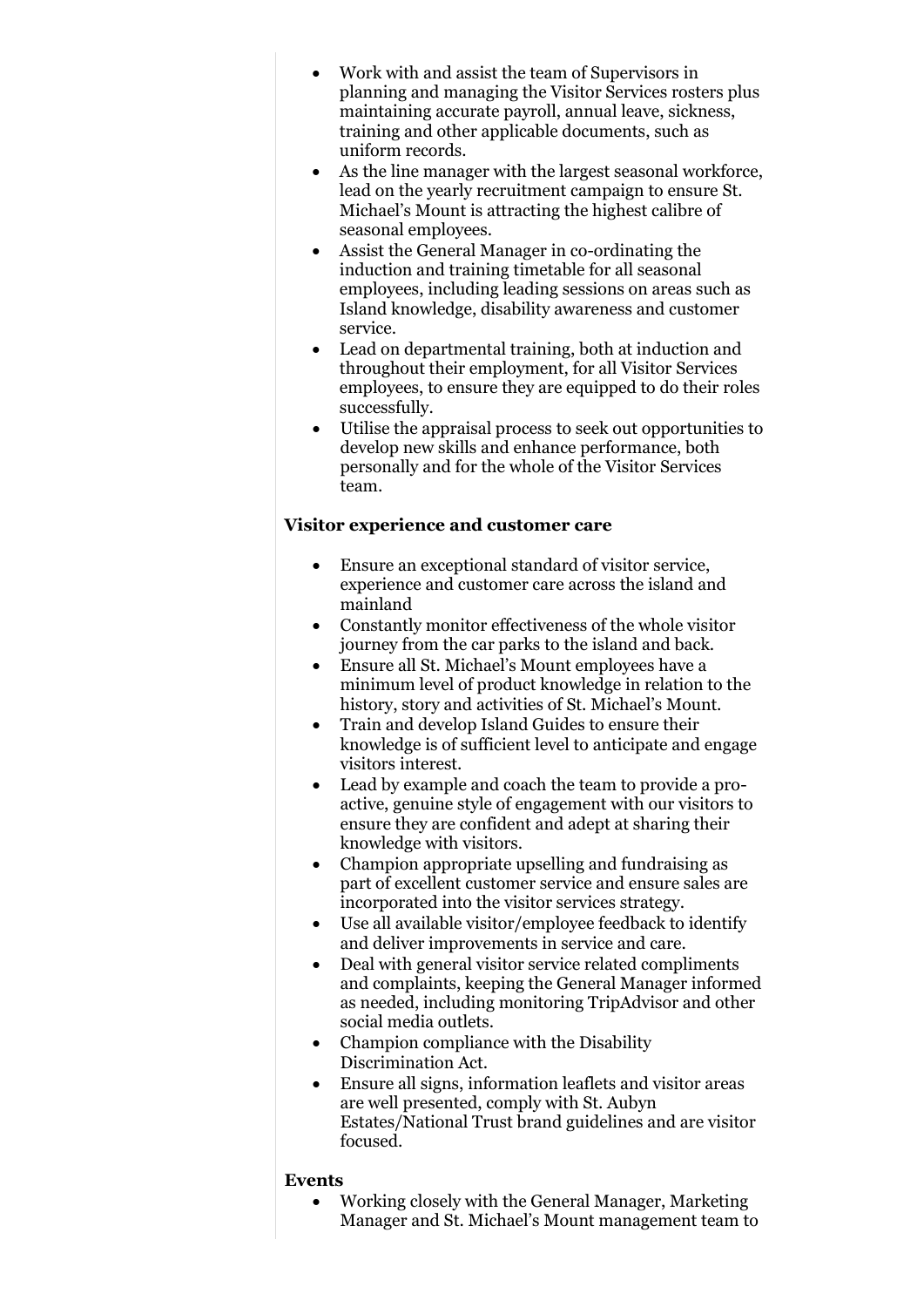- Work with and assist the team of Supervisors in planning and managing the Visitor Services rosters plus maintaining accurate payroll, annual leave, sickness, training and other applicable documents, such as uniform records.
- As the line manager with the largest seasonal workforce, lead on the yearly recruitment campaign to ensure St. Michael's Mount is attracting the highest calibre of seasonal employees.
- Assist the General Manager in co-ordinating the induction and training timetable for all seasonal employees, including leading sessions on areas such as Island knowledge, disability awareness and customer service.
- Lead on departmental training, both at induction and throughout their employment, for all Visitor Services employees, to ensure they are equipped to do their roles successfully.
- Utilise the appraisal process to seek out opportunities to develop new skills and enhance performance, both personally and for the whole of the Visitor Services team.

## **Visitor experience and customer care**

- Ensure an exceptional standard of visitor service, experience and customer care across the island and mainland
- Constantly monitor effectiveness of the whole visitor journey from the car parks to the island and back.
- Ensure all St. Michael's Mount employees have a minimum level of product knowledge in relation to the history, story and activities of St. Michael's Mount.
- Train and develop Island Guides to ensure their knowledge is of sufficient level to anticipate and engage visitors interest.
- Lead by example and coach the team to provide a proactive, genuine style of engagement with our visitors to ensure they are confident and adept at sharing their knowledge with visitors.
- Champion appropriate upselling and fundraising as part of excellent customer service and ensure sales are incorporated into the visitor services strategy.
- Use all available visitor/employee feedback to identify and deliver improvements in service and care.
- Deal with general visitor service related compliments and complaints, keeping the General Manager informed as needed, including monitoring TripAdvisor and other social media outlets.
- Champion compliance with the Disability Discrimination Act.
- Ensure all signs, information leaflets and visitor areas are well presented, comply with St. Aubyn Estates/National Trust brand guidelines and are visitor focused.

#### **Events**

• Working closely with the General Manager, Marketing Manager and St. Michael's Mount management team to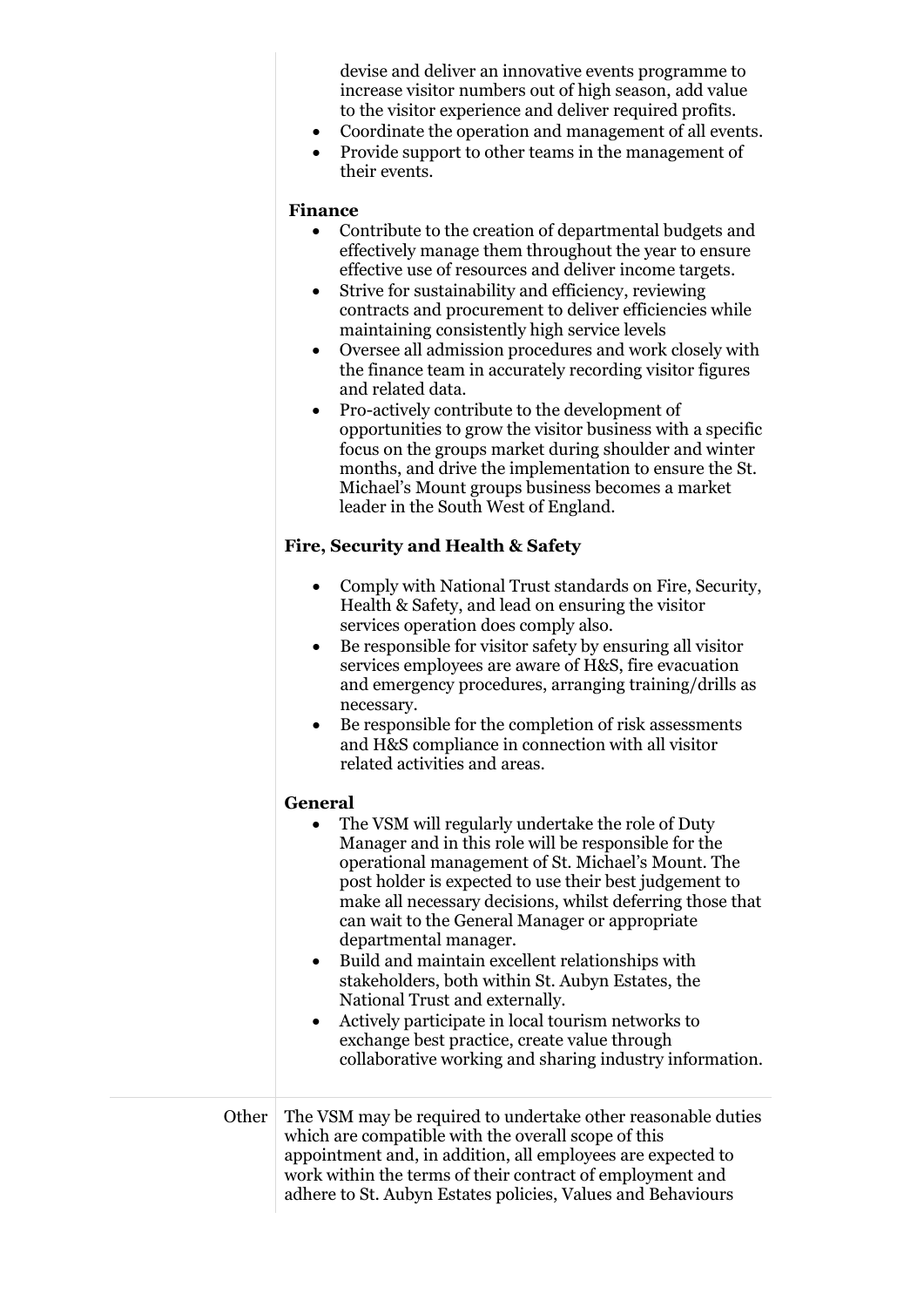devise and deliver an innovative events programme to increase visitor numbers out of high season, add value to the visitor experience and deliver required profits.

- Coordinate the operation and management of all events.
- Provide support to other teams in the management of their events.

#### **Finance**

- Contribute to the creation of departmental budgets and effectively manage them throughout the year to ensure effective use of resources and deliver income targets.
- Strive for sustainability and efficiency, reviewing contracts and procurement to deliver efficiencies while maintaining consistently high service levels
- Oversee all admission procedures and work closely with the finance team in accurately recording visitor figures and related data.
- Pro-actively contribute to the development of opportunities to grow the visitor business with a specific focus on the groups market during shoulder and winter months, and drive the implementation to ensure the St. Michael's Mount groups business becomes a market leader in the South West of England.

#### **Fire, Security and Health & Safety**

- Comply with National Trust standards on Fire, Security, Health & Safety, and lead on ensuring the visitor services operation does comply also.
- Be responsible for visitor safety by ensuring all visitor services employees are aware of H&S, fire evacuation and emergency procedures, arranging training/drills as necessary.
- Be responsible for the completion of risk assessments and H&S compliance in connection with all visitor related activities and areas.

## **General**

|       | General                                                                                                                                                                                                                                                                                                                                                                                                                                                                                                                                                                                                                                                                                                   |  |  |  |  |
|-------|-----------------------------------------------------------------------------------------------------------------------------------------------------------------------------------------------------------------------------------------------------------------------------------------------------------------------------------------------------------------------------------------------------------------------------------------------------------------------------------------------------------------------------------------------------------------------------------------------------------------------------------------------------------------------------------------------------------|--|--|--|--|
|       | The VSM will regularly undertake the role of Duty<br>٠<br>Manager and in this role will be responsible for the<br>operational management of St. Michael's Mount. The<br>post holder is expected to use their best judgement to<br>make all necessary decisions, whilst deferring those that<br>can wait to the General Manager or appropriate<br>departmental manager.<br>Build and maintain excellent relationships with<br>$\bullet$<br>stakeholders, both within St. Aubyn Estates, the<br>National Trust and externally.<br>Actively participate in local tourism networks to<br>$\bullet$<br>exchange best practice, create value through<br>collaborative working and sharing industry information. |  |  |  |  |
| Other | The VSM may be required to undertake other reasonable duties<br>which are compatible with the overall scope of this<br>appointment and, in addition, all employees are expected to<br>work within the terms of their contract of employment and<br>adhere to St. Aubyn Estates policies, Values and Behaviours                                                                                                                                                                                                                                                                                                                                                                                            |  |  |  |  |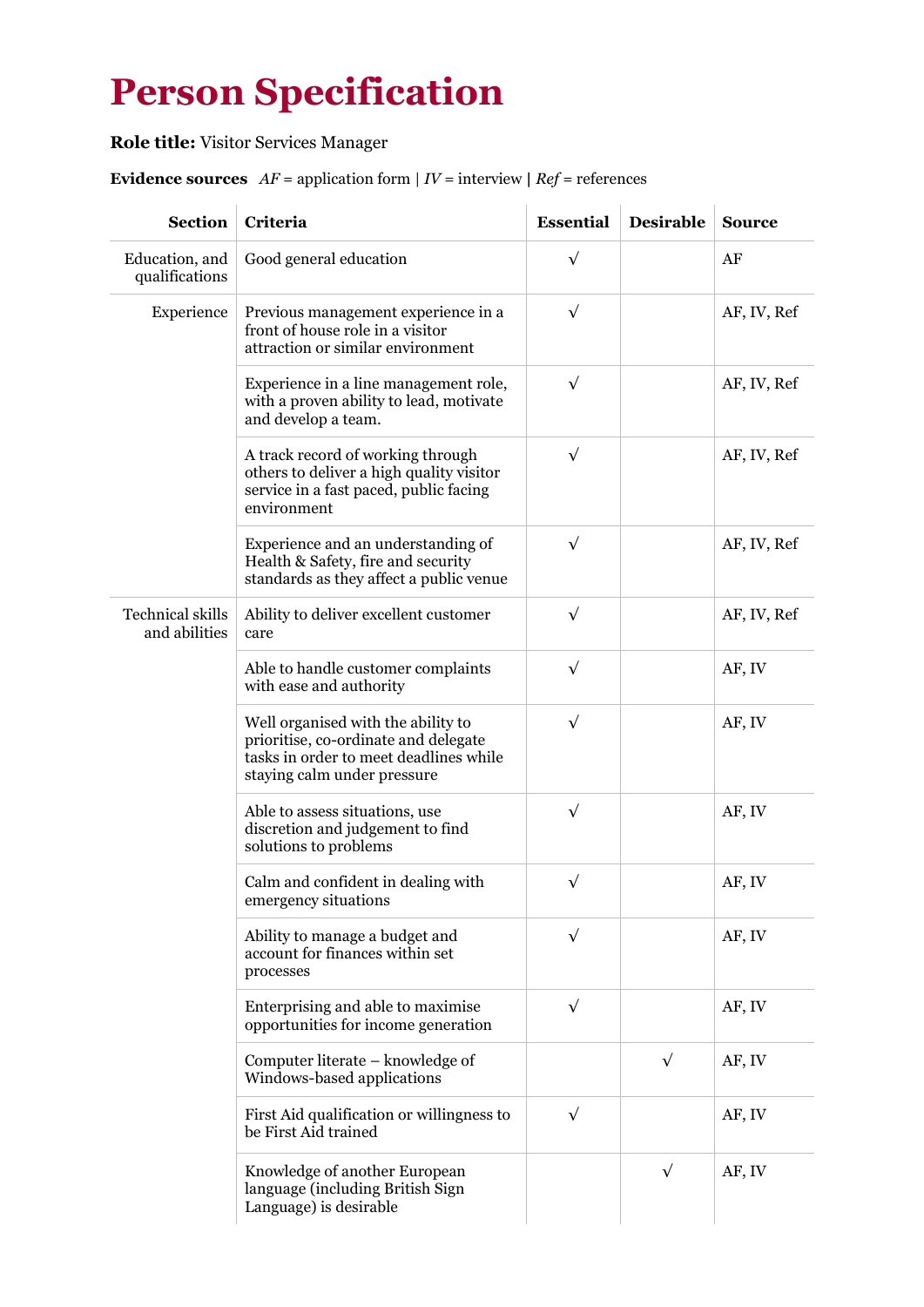# **Person Specification**

**Role title:** Visitor Services Manager

# **Evidence sources**  $AF =$  application form  $| IV =$  interview  $| Ref =$  references

| <b>Section</b>                           | Criteria                                                                                                                                            | <b>Essential</b> | <b>Desirable</b> | <b>Source</b> |
|------------------------------------------|-----------------------------------------------------------------------------------------------------------------------------------------------------|------------------|------------------|---------------|
| Education, and<br>qualifications         | Good general education                                                                                                                              | $\sqrt{}$        |                  | AF            |
| Experience                               | Previous management experience in a<br>front of house role in a visitor<br>attraction or similar environment                                        | $\sqrt{}$        |                  | AF, IV, Ref   |
|                                          | Experience in a line management role,<br>with a proven ability to lead, motivate<br>and develop a team.                                             | $\sqrt{}$        |                  | AF, IV, Ref   |
|                                          | A track record of working through<br>others to deliver a high quality visitor<br>service in a fast paced, public facing<br>environment              | $\sqrt{}$        |                  | AF, IV, Ref   |
|                                          | Experience and an understanding of<br>Health & Safety, fire and security<br>standards as they affect a public venue                                 | $\sqrt{}$        |                  | AF, IV, Ref   |
| <b>Technical skills</b><br>and abilities | Ability to deliver excellent customer<br>care                                                                                                       | $\sqrt{}$        |                  | AF, IV, Ref   |
|                                          | Able to handle customer complaints<br>with ease and authority                                                                                       | $\sqrt{}$        |                  | AF, IV        |
|                                          | Well organised with the ability to<br>prioritise, co-ordinate and delegate<br>tasks in order to meet deadlines while<br>staying calm under pressure | $\sqrt{}$        |                  | AF, IV        |
|                                          | Able to assess situations, use<br>discretion and judgement to find<br>solutions to problems                                                         | $\sqrt{}$        |                  | AF, IV        |
|                                          | Calm and confident in dealing with<br>emergency situations                                                                                          | $\sqrt{}$        |                  | AF, IV        |
|                                          | Ability to manage a budget and<br>account for finances within set<br>processes                                                                      | $\sqrt{}$        |                  | AF, IV        |
|                                          | Enterprising and able to maximise<br>opportunities for income generation                                                                            | $\sqrt{}$        |                  | AF, IV        |
|                                          | Computer literate – knowledge of<br>Windows-based applications                                                                                      |                  | $\sqrt{}$        | AF, IV        |
|                                          | First Aid qualification or willingness to<br>be First Aid trained                                                                                   | $\sqrt{}$        |                  | AF, IV        |
|                                          | Knowledge of another European<br>language (including British Sign<br>Language) is desirable                                                         |                  | $\sqrt{}$        | AF, IV        |